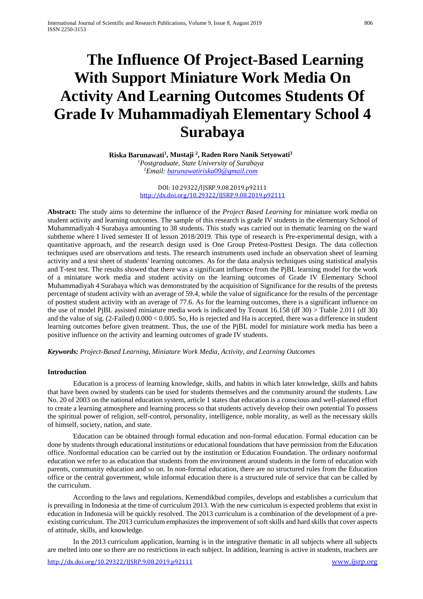# **The Influence Of Project-Based Learning With Support Miniature Work Media On Activity And Learning Outcomes Students Of Grade Iv Muhammadiyah Elementary School 4 Surabaya**

**Riska Barunawati1 , Mustaji 2 , Raden Roro Nanik Setyowati3** *1 Postgraduate, State University of Surabaya 1 Email[: barunawatiriska09@gmail.com](mailto:barunawatiriska09@gmail.com)*

> DOI: 10.29322/IJSRP.9.08.2019.p92111 <http://dx.doi.org/10.29322/IJSRP.9.08.2019.p92111>

**Abstract:** The study aims to determine the influence of the *Project Based Learning* for miniature work media on student activity and learning outcomes. The sample of this research is grade IV students in the elementary School of Muhammadiyah 4 Surabaya amounting to 38 students. This study was carried out in thematic learning on the ward subtheme where I lived semester II of lesson 2018/2019. This type of research is Pre-experimental design, with a quantitative approach, and the research design used is One Group Pretest-Posttest Design. The data collection techniques used are observations and tests. The research instruments used include an observation sheet of learning activity and a test sheet of students' learning outcomes. As for the data analysis techniques using statistical analysis and T-test test. The results showed that there was a significant influence from the PjBL learning model for the work of a miniature work media and student activity on the learning outcomes of Grade IV Elementary School Muhammadiyah 4 Surabaya which was demonstrated by the acquisition of Significance for the results of the pretests percentage of student activity with an average of 59.4, while the value of significance for the results of the percentage of posttest student activity with an average of 77.6. As for the learning outcomes, there is a significant influence on the use of model PjBL assisted miniature media work is indicated by Tcount 16.158 (df 30) > Ttable 2.011 (df 30) and the value of sig. (2-Failed) 0.000 < 0.005. So, Ho is rejected and Ha is accepted, there was a difference in student learning outcomes before given treatment. Thus, the use of the PjBL model for miniature work media has been a positive influence on the activity and learning outcomes of grade IV students.

*Keywords: Project-Based Learning, Miniature Work Media, Activity, and Learning Outcomes*

## **Introduction**

Education is a process of learning knowledge, skills, and habits in which later knowledge, skills and habits that have been owned by students can be used for students themselves and the community around the students. Law No. 20 of 2003 on the national education system, article 1 states that education is a conscious and well-planned effort to create a learning atmosphere and learning process so that students actively develop their own potential To possess the spiritual power of religion, self-control, personality, intelligence, noble morality, as well as the necessary skills of himself, society, nation, and state.

Education can be obtained through formal education and non-formal education. Formal education can be done by students through educational institutions or educational foundations that have permission from the Education office. Nonformal education can be carried out by the institution or Education Foundation. The ordinary nonformal education we refer to as education that students from the environment around students in the form of education with parents, community education and so on. In non-formal education, there are no structured rules from the Education office or the central government, while informal education there is a structured rule of service that can be called by the curriculum.

According to the laws and regulations, Kemendikbud compiles, develops and establishes a curriculum that is prevailing in Indonesia at the time of curriculum 2013. With the new curriculum is expected problems that exist in education in Indonesia will be quickly resolved. The 2013 curriculum is a combination of the development of a preexisting curriculum. The 2013 curriculum emphasizes the improvement of soft skills and hard skills that cover aspects of attitude, skills, and knowledge.

In the 2013 curriculum application, learning is in the integrative thematic in all subjects where all subjects are melted into one so there are no restrictions in each subject. In addition, learning is active in students, teachers are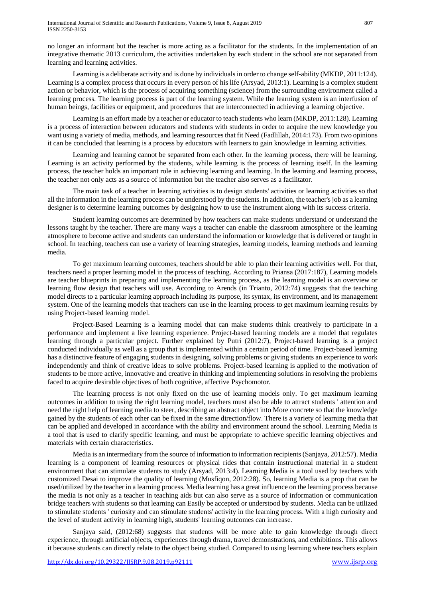no longer an informant but the teacher is more acting as a facilitator for the students. In the implementation of an integrative thematic 2013 curriculum, the activities undertaken by each student in the school are not separated from learning and learning activities.

Learning is a deliberate activity and is done by individuals in order to change self-ability (MKDP, 2011:124). Learning is a complex process that occurs in every person of his life (Arsyad, 2013:1). Learning is a complex student action or behavior, which is the process of acquiring something (science) from the surrounding environment called a learning process. The learning process is part of the learning system. While the learning system is an interfusion of human beings, facilities or equipment, and procedures that are interconnected in achieving a learning objective.

Learning is an effort made by a teacher or educator to teach students who learn (MKDP, 2011:128). Learning is a process of interaction between educators and students with students in order to acquire the new knowledge you want using a variety of media, methods, and learning resources that fit Need (Fadlillah, 2014:173). From two opinions it can be concluded that learning is a process by educators with learners to gain knowledge in learning activities.

Learning and learning cannot be separated from each other. In the learning process, there will be learning. Learning is an activity performed by the students, while learning is the process of learning itself. In the learning process, the teacher holds an important role in achieving learning and learning. In the learning and learning process, the teacher not only acts as a source of information but the teacher also serves as a facilitator.

The main task of a teacher in learning activities is to design students' activities or learning activities so that all the information in the learning process can be understood by the students. In addition, the teacher's job as a learning designer is to determine learning outcomes by designing how to use the instrument along with its success criteria.

Student learning outcomes are determined by how teachers can make students understand or understand the lessons taught by the teacher. There are many ways a teacher can enable the classroom atmosphere or the learning atmosphere to become active and students can understand the information or knowledge that is delivered or taught in school. In teaching, teachers can use a variety of learning strategies, learning models, learning methods and learning media.

To get maximum learning outcomes, teachers should be able to plan their learning activities well. For that, teachers need a proper learning model in the process of teaching. According to Priansa (2017:187), Learning models are teacher blueprints in preparing and implementing the learning process, as the learning model is an overview or learning flow design that teachers will use. According to Arends (in Trianto, 2012:74) suggests that the teaching model directs to a particular learning approach including its purpose, its syntax, its environment, and its management system. One of the learning models that teachers can use in the learning process to get maximum learning results by using Project-based learning model.

Project-Based Learning is a learning model that can make students think creatively to participate in a performance and implement a live learning experience. Project-based learning models are a model that regulates learning through a particular project. Further explained by Putri (2012:7), Project-based learning is a project conducted individually as well as a group that is implemented within a certain period of time. Project-based learning has a distinctive feature of engaging students in designing, solving problems or giving students an experience to work independently and think of creative ideas to solve problems. Project-based learning is applied to the motivation of students to be more active, innovative and creative in thinking and implementing solutions in resolving the problems faced to acquire desirable objectives of both cognitive, affective Psychomotor.

The learning process is not only fixed on the use of learning models only. To get maximum learning outcomes in addition to using the right learning model, teachers must also be able to attract students ' attention and need the right help of learning media to steer, describing an abstract object into More concrete so that the knowledge gained by the students of each other can be fixed in the same direction/flow. There is a variety of learning media that can be applied and developed in accordance with the ability and environment around the school. Learning Media is a tool that is used to clarify specific learning, and must be appropriate to achieve specific learning objectives and materials with certain characteristics.

Media is an intermediary from the source of information to information recipients (Sanjaya, 2012:57). Media learning is a component of learning resources or physical rides that contain instructional material in a student environment that can stimulate students to study (Arsyad, 2013:4). Learning Media is a tool used by teachers with customized Desai to improve the quality of learning (Musfiqon, 2012:28). So, learning Media is a prop that can be used/utilized by the teacher in a learning process. Media learning has a great influence on the learning process because the media is not only as a teacher in teaching aids but can also serve as a source of information or communication bridge teachers with students so that learning can Easily be accepted or understood by students. Media can be utilized to stimulate students ' curiosity and can stimulate students' activity in the learning process. With a high curiosity and the level of student activity in learning high, students' learning outcomes can increase.

Sanjaya said, (2012:68) suggests that students will be more able to gain knowledge through direct experience, through artificial objects, experiences through drama, travel demonstrations, and exhibitions. This allows it because students can directly relate to the object being studied. Compared to using learning where teachers explain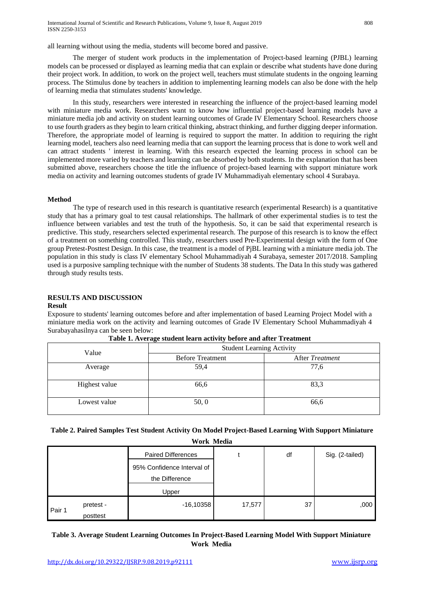all learning without using the media, students will become bored and passive.

The merger of student work products in the implementation of Project-based learning (PJBL) learning models can be processed or displayed as learning media that can explain or describe what students have done during their project work. In addition, to work on the project well, teachers must stimulate students in the ongoing learning process. The Stimulus done by teachers in addition to implementing learning models can also be done with the help of learning media that stimulates students' knowledge.

In this study, researchers were interested in researching the influence of the project-based learning model with miniature media work. Researchers want to know how influential project-based learning models have a miniature media job and activity on student learning outcomes of Grade IV Elementary School. Researchers choose to use fourth graders as they begin to learn critical thinking, abstract thinking, and further digging deeper information. Therefore, the appropriate model of learning is required to support the matter. In addition to requiring the right learning model, teachers also need learning media that can support the learning process that is done to work well and can attract students ' interest in learning. With this research expected the learning process in school can be implemented more varied by teachers and learning can be absorbed by both students. In the explanation that has been submitted above, researchers choose the title the influence of project-based learning with support miniature work media on activity and learning outcomes students of grade IV Muhammadiyah elementary school 4 Surabaya.

### **Method**

The type of research used in this research is quantitative research (experimental Research) is a quantitative study that has a primary goal to test causal relationships. The hallmark of other experimental studies is to test the influence between variables and test the truth of the hypothesis. So, it can be said that experimental research is predictive. This study, researchers selected experimental research. The purpose of this research is to know the effect of a treatment on something controlled. This study, researchers used Pre-Experimental design with the form of One group Pretest-Posttest Design. In this case, the treatment is a model of PjBL learning with a miniature media job. The population in this study is class IV elementary School Muhammadiyah 4 Surabaya, semester 2017/2018. Sampling used is a purposive sampling technique with the number of Students 38 students. The Data In this study was gathered through study results tests.

# **RESULTS AND DISCUSSION**

#### **Result**

Exposure to students' learning outcomes before and after implementation of based Learning Project Model with a miniature media work on the activity and learning outcomes of Grade IV Elementary School Muhammadiyah 4 Surabayahasilnya can be seen below:

| Value         | <b>Student Learning Activity</b> |                 |  |  |
|---------------|----------------------------------|-----------------|--|--|
|               | <b>Before Treatment</b>          | After Treatment |  |  |
| Average       | 59,4                             | 77,6            |  |  |
| Highest value | 66,6                             | 83,3            |  |  |
| Lowest value  | 50, 0                            | 66,6            |  |  |

| Table 1. Average student learn activity before and after Treatment |  |
|--------------------------------------------------------------------|--|
|--------------------------------------------------------------------|--|

|  | Table 2. Paired Samples Test Student Activity On Model Project-Based Learning With Support Miniature |  |
|--|------------------------------------------------------------------------------------------------------|--|
|  |                                                                                                      |  |

| Work Media |                       |                                              |        |    |                 |  |
|------------|-----------------------|----------------------------------------------|--------|----|-----------------|--|
|            |                       | <b>Paired Differences</b>                    |        | df | Sig. (2-tailed) |  |
|            |                       | 95% Confidence Interval of<br>the Difference |        |    |                 |  |
|            |                       | Upper                                        |        |    |                 |  |
| Pair 1     | pretest -<br>posttest | $-16,10358$                                  | 17,577 | 37 | ,000            |  |

# **Table 3. Average Student Learning Outcomes In Project-Based Learning Model With Support Miniature Work Media**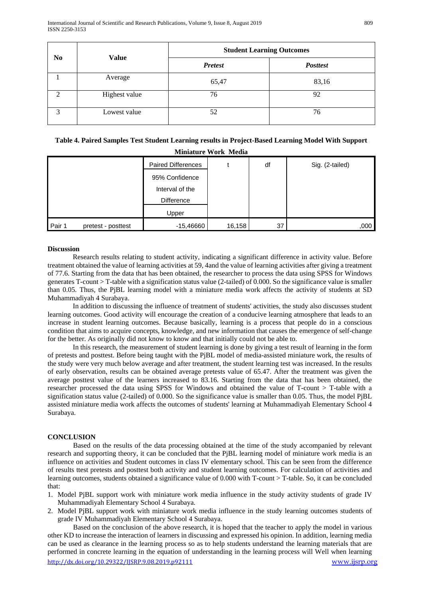| N <sub>0</sub> | <b>Value</b>  | <b>Student Learning Outcomes</b> |                 |  |  |
|----------------|---------------|----------------------------------|-----------------|--|--|
|                |               | <b>Pretest</b>                   | <b>Posttest</b> |  |  |
|                | Average       | 65,47                            | 83,16           |  |  |
|                | Highest value | 76                               | 92              |  |  |
| 3              | Lowest value  | 52                               | 76              |  |  |

# **Table 4. Paired Samples Test Student Learning results in Project-Based Learning Model With Support Miniature Work Media**

|        |                    | <b>Paired Differences</b> |        | df | Sig. (2-tailed) |
|--------|--------------------|---------------------------|--------|----|-----------------|
|        |                    | 95% Confidence            |        |    |                 |
|        |                    | Interval of the           |        |    |                 |
|        |                    | <b>Difference</b>         |        |    |                 |
|        |                    | Upper                     |        |    |                 |
| Pair 1 | pretest - posttest | $-15,46660$               | 16,158 | 37 | ,000            |

## **Discussion**

Research results relating to student activity, indicating a significant difference in activity value. Before treatment obtained the value of learning activities at 59, 4and the value of learning activities after giving a treatment of 77.6. Starting from the data that has been obtained, the researcher to process the data using SPSS for Windows generates T-count > T-table with a signification status value (2-tailed) of 0.000. So the significance value is smaller than 0.05. Thus, the PjBL learning model with a miniature media work affects the activity of students at SD Muhammadiyah 4 Surabaya.

In addition to discussing the influence of treatment of students' activities, the study also discusses student learning outcomes. Good activity will encourage the creation of a conducive learning atmosphere that leads to an increase in student learning outcomes. Because basically, learning is a process that people do in a conscious condition that aims to acquire concepts, knowledge, and new information that causes the emergence of self-change for the better. As originally did not know to know and that initially could not be able to.

In this research, the measurement of student learning is done by giving a test result of learning in the form of pretests and posttest. Before being taught with the PjBL model of media-assisted miniature work, the results of the study were very much below average and after treatment, the student learning test was increased. In the results of early observation, results can be obtained average pretests value of 65.47. After the treatment was given the average posttest value of the learners increased to 83.16. Starting from the data that has been obtained, the researcher processed the data using SPSS for Windows and obtained the value of T-count > T-table with a signification status value (2-tailed) of 0.000. So the significance value is smaller than 0.05. Thus, the model PjBL assisted miniature media work affects the outcomes of students' learning at Muhammadiyah Elementary School 4 Surabaya.

## **CONCLUSION**

Based on the results of the data processing obtained at the time of the study accompanied by relevant research and supporting theory, it can be concluded that the PjBL learning model of miniature work media is an influence on activities and Student outcomes in class IV elementary school. This can be seen from the difference of results ttest pretests and posttest both activity and student learning outcomes. For calculation of activities and learning outcomes, students obtained a significance value of 0.000 with T-count > T-table. So, it can be concluded that:

- 1. Model PjBL support work with miniature work media influence in the study activity students of grade IV Muhammadiyah Elementary School 4 Surabaya.
- 2. Model PjBL support work with miniature work media influence in the study learning outcomes students of grade IV Muhammadiyah Elementary School 4 Surabaya.

http://dx.doi.org/10.29322/JJSRP.9.08.2019.p92111 [www.ijsrp.org](http://ijsrp.org/) Based on the conclusion of the above research, it is hoped that the teacher to apply the model in various other KD to increase the interaction of learners in discussing and expressed his opinion. In addition, learning media can be used as clearance in the learning process so as to help students understand the learning materials that are performed in concrete learning in the equation of understanding in the learning process will Well when learning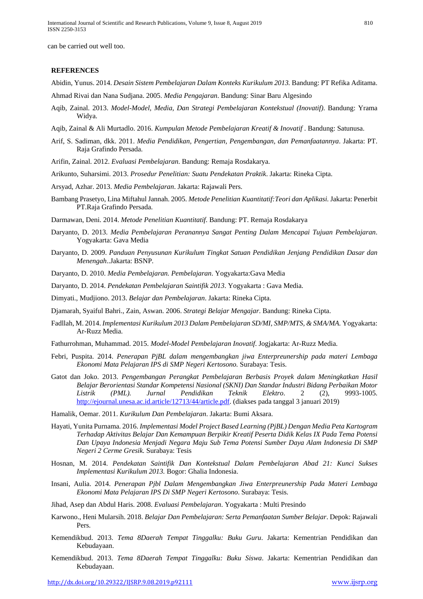can be carried out well too.

#### **REFERENCES**

Abidin, Yunus. 2014. *Desain Sistem Pembelajaran Dalam Konteks Kurikulum 2013.* Bandung: PT Refika Aditama.

- Ahmad Rivai dan Nana Sudjana. 2005. *Media Pengajaran*. Bandung: Sinar Baru Algesindo
- Aqib, Zainal. 2013. *Model-Model, Media, Dan Strategi Pembelajaran Kontekstual (Inovatif)*. Bandung: Yrama Widya.
- Aqib, Zainal & Ali Murtadlo. 2016. *Kumpulan Metode Pembelajaran Kreatif & Inovatif* . Bandung: Satunusa.
- Arif, S. Sadiman, dkk. 2011. *Media Pendidikan, Pengertian, Pengembangan, dan Pemanfaatannya*. Jakarta: PT. Raja Grafindo Persada.
- Arifin, Zainal. 2012. *Evaluasi Pembelajaran*. Bandung: Remaja Rosdakarya.
- Arikunto, Suharsimi. 2013. *Prosedur Penelitian: Suatu Pendekatan Praktik*. Jakarta: Rineka Cipta.
- Arsyad, Azhar. 2013. *Media Pembelajaran*. Jakarta: Rajawali Pers.
- Bambang Prasetyo, Lina Miftahul Jannah. 2005. *Metode Penelitian Kuantitatif:Teori dan Aplikasi.* Jakarta: Penerbit PT.Raja Grafindo Persada.

Darmawan, Deni. 2014. *Metode Penelitian Kuantitatif*. Bandung: PT. Remaja Rosdakarya

- Daryanto, D. 2013. *Media Pembelajaran Peranannya Sangat Penting Dalam Mencapai Tujuan Pembelajaran*. Yogyakarta: Gava Media
- Daryanto, D. 2009. *Panduan Penyusunan Kurikulum Tingkat Satuan Pendidikan Jenjang Pendidikan Dasar dan Menengah*..Jakarta: BSNP.
- Daryanto, D. 2010. *Media Pembelajaran. Pembelajaran*. Yogyakarta:Gava Media
- Daryanto, D. 2014. *Pendekatan Pembelajaran Saintifik 2013*. Yogyakarta : Gava Media.
- Dimyati., Mudjiono. 2013. *Belajar dan Pembelajaran*. Jakarta: Rineka Cipta.
- Djamarah, Syaiful Bahri., Zain, Aswan. 2006. *Strategi Belajar Mengajar*. Bandung: Rineka Cipta.
- Fadllah, M. 2014. *Implementasi Kurikulum 2013 Dalam Pembelajaran SD/MI, SMP/MTS, & SMA/MA.* Yogyakarta: Ar-Ruzz Media.
- Fathurrohman, Muhammad. 2015. *Model-Model Pembelajaran Inovatif*. Jogjakarta: Ar-Ruzz Media.
- Febri, Puspita. 2014. *Penerapan PjBL dalam mengembangkan jiwa Enterpreunership pada materi Lembaga Ekonomi Mata Pelajaran IPS di SMP Negeri Kertosono.* Surabaya: Tesis.
- Gatot dan Joko. 2013. *Pengembangan Perangkat Pembelajaran Berbasis Proyek dalam Meningkatkan Hasil Belajar Berorientasi Standar Kompetensi Nasional (SKNI) Dan Standar Industri Bidang Perbaikan Motor Listrik (PML). Jurnal Pendidikan Teknik Elektro*. 2 (2), 9993-1005. [http://ejournal.unesa.ac.id.article/12713/44/article.pdf.](http://ejournal.unesa.ac.id.article/12713/44/article.pdf) (diakses pada tanggal 3 januari 2019)
- Hamalik, Oemar. 2011. *Kurikulum Dan Pembelajaran*. Jakarta: Bumi Aksara.
- Hayati, Yunita Purnama. 2016. *Implementasi Model Project Based Learning (PjBL) Dengan Media Peta Kartogram Terhadap Aktivitas Belajar Dan Kemampuan Berpikir Kreatif Peserta Didik Kelas IX Pada Tema Potensi Dan Upaya Indonesia Menjadi Negara Maju Sub Tema Potensi Sumber Daya Alam Indonesia Di SMP Negeri 2 Cerme Gresik.* Surabaya: Tesis
- Hosnan, M. 2014. *Pendekatan Saintifik Dan Kontekstual Dalam Pembelajaran Abad 21: Kunci Sukses Implementasi Kurikulum 2013.* Bogor: Ghalia Indonesia.
- Insani, Aulia. 2014. *Penerapan Pjbl Dalam Mengembangkan Jiwa Enterpreunership Pada Materi Lembaga Ekonomi Mata Pelajaran IPS Di SMP Negeri Kertosono*. Surabaya: Tesis.
- Jihad, Asep dan Abdul Haris. 2008. *Evaluasi Pembelajaran*. Yogyakarta : Multi Presindo
- Karwono., Heni Mularsih. 2018. *Belajar Dan Pembelajaran: Serta Pemanfaatan Sumber Belajar*. Depok: Rajawali Pers.
- Kemendikbud. 2013. *Tema 8Daerah Tempat Tinggalku: Buku Guru*. Jakarta: Kementrian Pendidikan dan Kebudayaan.
- Kemendikbud. 2013. *Tema 8Daerah Tempat Tinggalku: Buku Siswa*. Jakarta: Kementrian Pendidikan dan Kebudayaan.